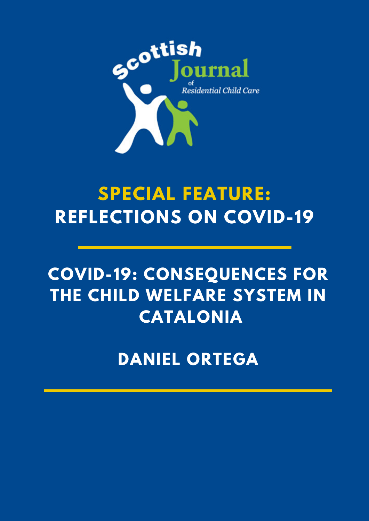

# **SPECIAL FEATURE: REFLECTIONS ON COVID-19**

## **COVID-19: CONSEQUENCES FOR THE CHILD WELFARE SYSTEM IN CATALONIA**

**DANIEL ORTEGA**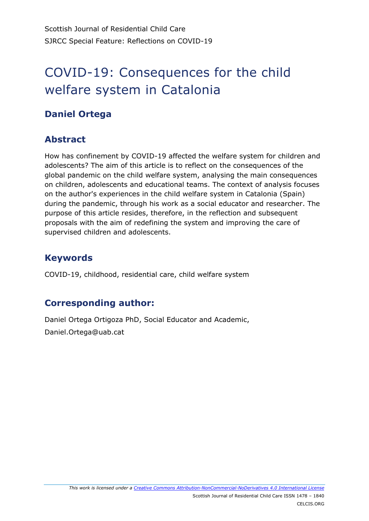### COVID-19: Consequences for the child welfare system in Catalonia

#### **Daniel Ortega**

#### **Abstract**

How has confinement by COVID-19 affected the welfare system for children and adolescents? The aim of this article is to reflect on the consequences of the global pandemic on the child welfare system, analysing the main consequences on children, adolescents and educational teams. The context of analysis focuses on the author's experiences in the child welfare system in Catalonia (Spain) during the pandemic, through his work as a social educator and researcher. The purpose of this article resides, therefore, in the reflection and subsequent proposals with the aim of redefining the system and improving the care of supervised children and adolescents.

#### **Keywords**

COVID-19, childhood, residential care, child welfare system

#### **Corresponding author:**

Daniel Ortega Ortigoza PhD, Social Educator and Academic, Daniel.Ortega@uab.cat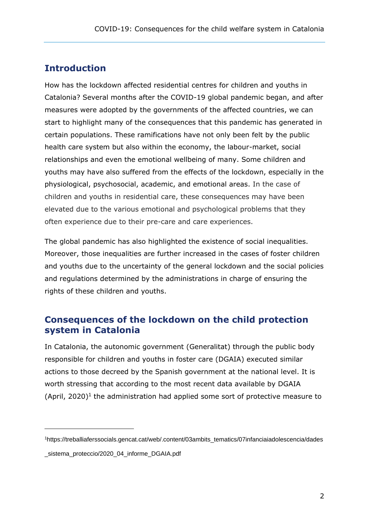#### **Introduction**

How has the lockdown affected residential centres for children and youths in Catalonia? Several months after the COVID-19 global pandemic began, and after measures were adopted by the governments of the affected countries, we can start to highlight many of the consequences that this pandemic has generated in certain populations. These ramifications have not only been felt by the public health care system but also within the economy, the labour-market, social relationships and even the emotional wellbeing of many. Some children and youths may have also suffered from the effects of the lockdown, especially in the physiological, psychosocial, academic, and emotional areas. In the case of children and youths in residential care, these consequences may have been elevated due to the various emotional and psychological problems that they often experience due to their pre-care and care experiences.

The global pandemic has also highlighted the existence of social inequalities. Moreover, those inequalities are further increased in the cases of foster children and youths due to the uncertainty of the general lockdown and the social policies and regulations determined by the administrations in charge of ensuring the rights of these children and youths.

#### **Consequences of the lockdown on the child protection system in Catalonia**

In Catalonia, the autonomic government (Generalitat) through the public body responsible for children and youths in foster care (DGAIA) executed similar actions to those decreed by the Spanish government at the national level. It is worth stressing that according to the most recent data available by DGAIA (April, 2020)<sup>1</sup> the administration had applied some sort of protective measure to

-

<sup>1</sup>https://treballiaferssocials.gencat.cat/web/.content/03ambits\_tematics/07infanciaiadolescencia/dades

\_sistema\_proteccio/2020\_04\_informe\_DGAIA.pdf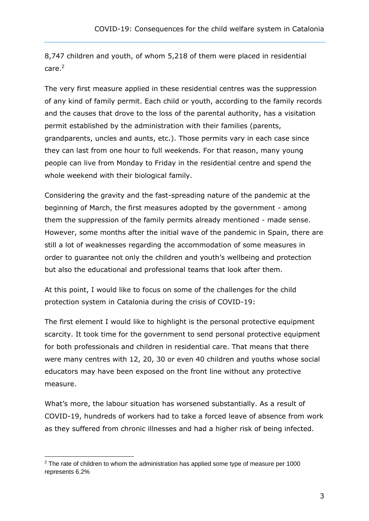8,747 children and youth, of whom 5,218 of them were placed in residential care.<sup>2</sup>

The very first measure applied in these residential centres was the suppression of any kind of family permit. Each child or youth, according to the family records and the causes that drove to the loss of the parental authority, has a visitation permit established by the administration with their families (parents, grandparents, uncles and aunts, etc.). Those permits vary in each case since they can last from one hour to full weekends. For that reason, many young people can live from Monday to Friday in the residential centre and spend the whole weekend with their biological family.

Considering the gravity and the fast-spreading nature of the pandemic at the beginning of March, the first measures adopted by the government - among them the suppression of the family permits already mentioned - made sense. However, some months after the initial wave of the pandemic in Spain, there are still a lot of [weaknesses](https://www.linguee.com/english-spanish/translation/weaknesses.html) regarding the accommodation of some measures in order to guarantee not only the children and youth's wellbeing and protection but also the educational and professional teams that look after them.

At this point, I would like to focus on some of the challenges for the child protection system in Catalonia during the crisis of COVID-19:

The first element I would like to highlight is the personal protective equipment scarcity. It took time for the government to send personal protective equipment for both professionals and children in residential care. That means that there were many centres with 12, 20, 30 or even 40 children and youths whose social educators may have been exposed on the front line without any protective measure.

What's more, the labour situation has worsened substantially. As a result of COVID-19, hundreds of workers had to take a forced leave of absence from work as they suffered from chronic illnesses and had a higher risk of being infected.

-

 $2$  The rate of children to whom the administration has applied some type of measure per 1000 represents 6.2%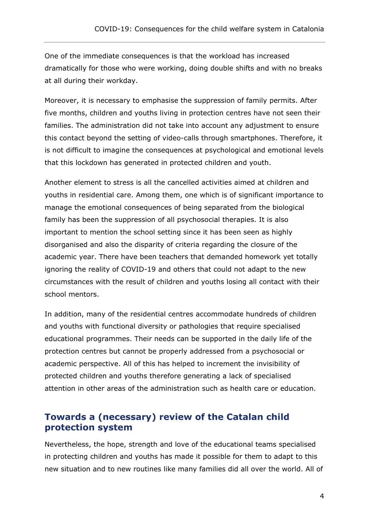One of the immediate consequences is that the workload has increased dramatically for those who were working, doing double shifts and with no breaks at all during their workday.

Moreover, it is necessary to emphasise the suppression of family permits. After five months, children and youths living in protection centres have not seen their families. The administration did not take into account any adjustment to ensure this contact beyond the setting of video-calls through smartphones. Therefore, it is not difficult to imagine the consequences at psychological and emotional levels that this lockdown has generated in protected children and youth.

Another element to stress is all the cancelled activities aimed at children and youths in residential care. Among them, one which is of significant importance to manage the emotional consequences of being separated from the biological family has been the suppression of all psychosocial therapies. It is also important to mention the school setting since it has been seen as highly disorganised and also the disparity of criteria regarding the closure of the academic year. There have been teachers that demanded homework yet totally ignoring the reality of COVID-19 and others that could not adapt to the new circumstances with the result of children and youths losing all contact with their school mentors.

In addition, many of the residential centres accommodate hundreds of children and youths with functional diversity or pathologies that require specialised educational programmes. Their needs can be supported in the daily life of the protection centres but cannot be properly addressed from a psychosocial or academic perspective. All of this has helped to increment the invisibility of protected children and youths therefore generating a lack of specialised attention in other areas of the administration such as health care or education.

#### **Towards a (necessary) review of the Catalan child protection system**

Nevertheless, the hope, strength and love of the educational teams specialised in protecting children and youths has made it possible for them to adapt to this new situation and to new routines like many families did all over the world. All of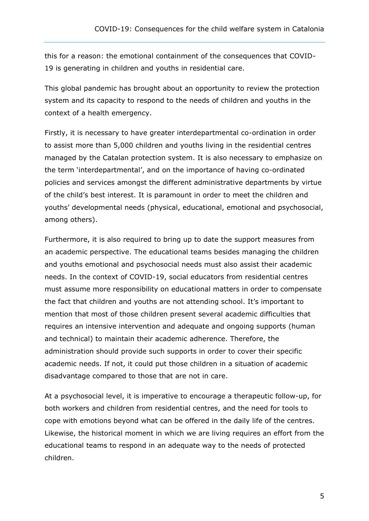this for a reason: the emotional containment of the consequences that COVID-19 is generating in children and youths in residential care.

This global pandemic has brought about an opportunity to review the protection system and its capacity to respond to the needs of children and youths in the context of a health emergency.

Firstly, it is necessary to have greater interdepartmental co-ordination in order to assist more than 5,000 children and youths living in the residential centres managed by the Catalan protection system. It is also necessary to emphasize on the term 'interdepartmental', and on the importance of having co-ordinated policies and services amongst the different administrative departments by virtue of the child's best interest. It is paramount in order to meet the children and youths' developmental needs (physical, educational, emotional and psychosocial, among others).

Furthermore, it is also required to bring up to date the support measures from an academic perspective. The educational teams besides managing the children and youths emotional and psychosocial needs must also assist their academic needs. In the context of COVID-19, social educators from residential centres must assume more responsibility on educational matters in order to compensate the fact that children and youths are not attending school. It's important to mention that most of those children present several academic difficulties that requires an intensive intervention and adequate and ongoing supports (human and technical) to maintain their academic adherence. Therefore, the administration should provide such supports in order to cover their specific academic needs. If not, it could put those children in a situation of academic disadvantage compared to those that are not in care.

At a psychosocial level, it is imperative to encourage a therapeutic follow-up, for both workers and children from residential centres, and the need for tools to cope with emotions beyond what can be offered in the daily life of the centres. Likewise, the historical moment in which we are living requires an effort from the educational teams to respond in an adequate way to the needs of protected children.